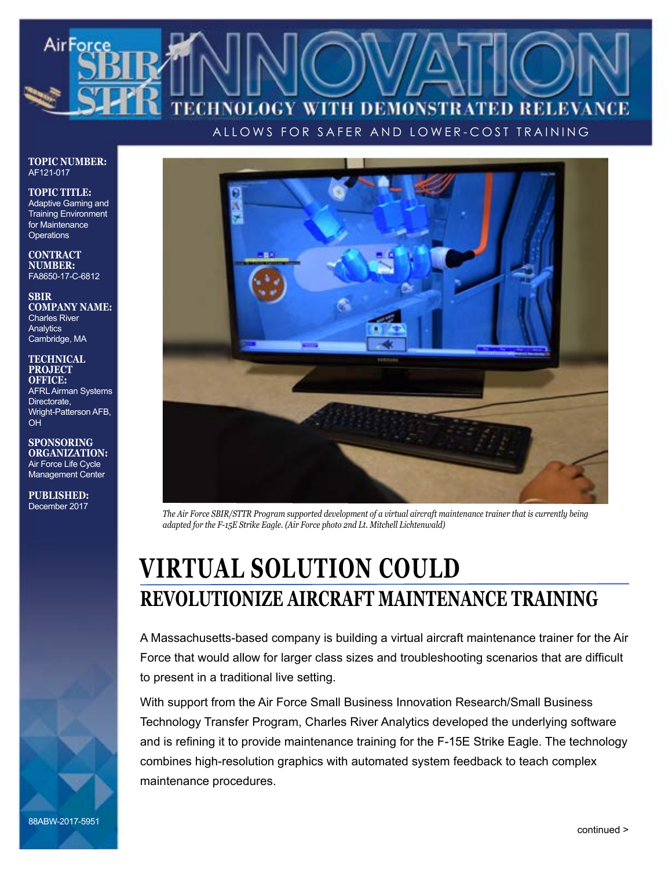# Air Force WITH DEMONSTRATED RELEVANCE LOGY

ALLOWS FOR SAFER AND LOWER-COST TRAINING

**TOPIC NUMBER:** AF121-017

**TOPIC TITLE:** Adaptive Gaming and Training Environment for Maintenance **Operations** 

**CONTRACT NUMBER:** FA8650-17-C-6812

**SBIR COMPANY NAME:** Charles River **Analytics** Cambridge, MA

**TECHNICAL PROJECT OFFICE:** AFRL Airman Systems Directorate, Wright-Patterson AFB, OH

**SPONSORING ORGANIZATION:** Air Force Life Cycle Management Center

**PUBLISHED:** December 2017



*The Air Force SBIR/STTR Program supported development of a virtual aircraft maintenance trainer that is currently being adapted for the F-15E Strike Eagle. (Air Force photo 2nd Lt. Mitchell Lichtenwald)*

# **VIRTUAL SOLUTION COULD REVOLUTIONIZE AIRCRAFT MAINTENANCE TRAINING**

A Massachusetts-based company is building a virtual aircraft maintenance trainer for the Air Force that would allow for larger class sizes and troubleshooting scenarios that are difficult to present in a traditional live setting.

With support from the Air Force Small Business Innovation Research/Small Business Technology Transfer Program, Charles River Analytics developed the underlying software and is refining it to provide maintenance training for the F-15E Strike Eagle. The technology combines high-resolution graphics with automated system feedback to teach complex maintenance procedures.